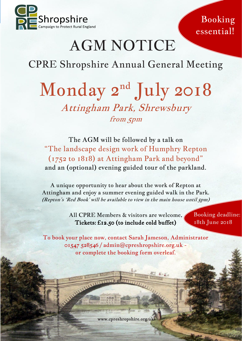

Booking essential!

# AGM NOTICE

### CPRE Shropshire Annual General Meeting

## Monday 2<sup>nd</sup> July 2018 Attingham Park, Shrewsbury from 5pm

The AGM will be followed by a talk on "The landscape design work of Humphry Repton (1752 to 1818) at Attingham Park and beyond" and an (optional) evening guided tour of the parkland.

A unique opportunity to hear about the work of Repton at Attingham and enjoy a summer evening guided walk in the Park. (Repton's 'Red Book' will be available to view in the main house until 5pm)

> All CPRE Members & visitors are welcome. Tickets: £12.50 (to include cold buffet)

Booking deadline: 18th June 2018

To book your place now, contact Sarah Jameson, Administrator 01547 528546 / admin@cpreshropshire.org.uk or complete the booking form overleaf.

www.cpreshropshire.org.uk